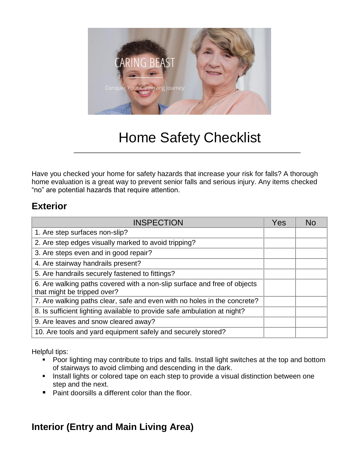

# Home Safety Checklist

\_\_\_\_\_\_\_\_\_\_\_\_\_\_\_\_\_\_\_\_\_\_\_\_\_\_\_\_\_\_\_\_\_\_\_\_\_\_\_\_\_\_\_\_\_\_\_\_\_\_\_\_\_\_\_\_\_\_

Have you checked your home for safety hazards that increase your risk for falls? A thorough home evaluation is a great way to prevent senior falls and serious injury. Any items checked "no" are potential hazards that require attention.

## **Exterior**

| <b>INSPECTION</b>                                                                                       | Yes | Nc |
|---------------------------------------------------------------------------------------------------------|-----|----|
| 1. Are step surfaces non-slip?                                                                          |     |    |
| 2. Are step edges visually marked to avoid tripping?                                                    |     |    |
| 3. Are steps even and in good repair?                                                                   |     |    |
| 4. Are stairway handrails present?                                                                      |     |    |
| 5. Are handrails securely fastened to fittings?                                                         |     |    |
| 6. Are walking paths covered with a non-slip surface and free of objects<br>that might be tripped over? |     |    |
| 7. Are walking paths clear, safe and even with no holes in the concrete?                                |     |    |
| 8. Is sufficient lighting available to provide safe ambulation at night?                                |     |    |
| 9. Are leaves and snow cleared away?                                                                    |     |    |
| 10. Are tools and yard equipment safely and securely stored?                                            |     |    |

Helpful tips:

- Poor lighting may contribute to trips and falls. Install light switches at the top and bottom of stairways to avoid climbing and descending in the dark.
- **EXECT** Install lights or colored tape on each step to provide a visual distinction between one step and the next.
- Paint doorsills a different color than the floor.

# **Interior (Entry and Main Living Area)**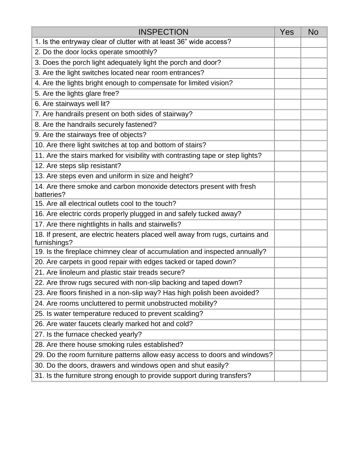| <b>INSPECTION</b>                                                                             | <b>Yes</b> | <b>No</b> |
|-----------------------------------------------------------------------------------------------|------------|-----------|
| 1. Is the entryway clear of clutter with at least 36" wide access?                            |            |           |
| 2. Do the door locks operate smoothly?                                                        |            |           |
| 3. Does the porch light adequately light the porch and door?                                  |            |           |
| 3. Are the light switches located near room entrances?                                        |            |           |
| 4. Are the lights bright enough to compensate for limited vision?                             |            |           |
| 5. Are the lights glare free?                                                                 |            |           |
| 6. Are stairways well lit?                                                                    |            |           |
| 7. Are handrails present on both sides of stairway?                                           |            |           |
| 8. Are the handrails securely fastened?                                                       |            |           |
| 9. Are the stairways free of objects?                                                         |            |           |
| 10. Are there light switches at top and bottom of stairs?                                     |            |           |
| 11. Are the stairs marked for visibility with contrasting tape or step lights?                |            |           |
| 12. Are steps slip resistant?                                                                 |            |           |
| 13. Are steps even and uniform in size and height?                                            |            |           |
| 14. Are there smoke and carbon monoxide detectors present with fresh<br>batteries?            |            |           |
| 15. Are all electrical outlets cool to the touch?                                             |            |           |
| 16. Are electric cords properly plugged in and safely tucked away?                            |            |           |
| 17. Are there nightlights in halls and stairwells?                                            |            |           |
| 18. If present, are electric heaters placed well away from rugs, curtains and<br>furnishings? |            |           |
| 19. Is the fireplace chimney clear of accumulation and inspected annually?                    |            |           |
| 20. Are carpets in good repair with edges tacked or taped down?                               |            |           |
| 21. Are linoleum and plastic stair treads secure?                                             |            |           |
| 22. Are throw rugs secured with non-slip backing and taped down?                              |            |           |
| 23. Are floors finished in a non-slip way? Has high polish been avoided?                      |            |           |
| 24. Are rooms uncluttered to permit unobstructed mobility?                                    |            |           |
| 25. Is water temperature reduced to prevent scalding?                                         |            |           |
| 26. Are water faucets clearly marked hot and cold?                                            |            |           |
| 27. Is the furnace checked yearly?                                                            |            |           |
| 28. Are there house smoking rules established?                                                |            |           |
| 29. Do the room furniture patterns allow easy access to doors and windows?                    |            |           |
| 30. Do the doors, drawers and windows open and shut easily?                                   |            |           |
| 31. Is the furniture strong enough to provide support during transfers?                       |            |           |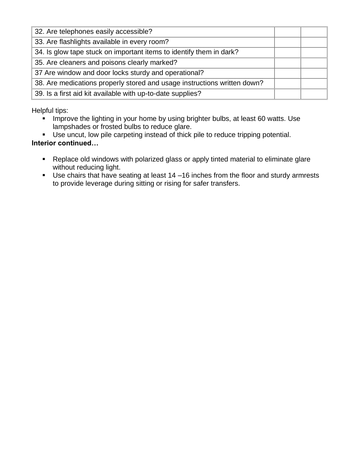| 32. Are telephones easily accessible?                                    |  |
|--------------------------------------------------------------------------|--|
| 33. Are flashlights available in every room?                             |  |
| 34. Is glow tape stuck on important items to identify them in dark?      |  |
| 35. Are cleaners and poisons clearly marked?                             |  |
| 37 Are window and door locks sturdy and operational?                     |  |
| 38. Are medications properly stored and usage instructions written down? |  |
| 39. Is a first aid kit available with up-to-date supplies?               |  |

Helpful tips:

- **·** Improve the lighting in your home by using brighter bulbs, at least 60 watts. Use lampshades or frosted bulbs to reduce glare.
- Use uncut, low pile carpeting instead of thick pile to reduce tripping potential.

#### **Interior continued…**

- Replace old windows with polarized glass or apply tinted material to eliminate glare without reducing light.
- Use chairs that have seating at least 14 –16 inches from the floor and sturdy armrests to provide leverage during sitting or rising for safer transfers.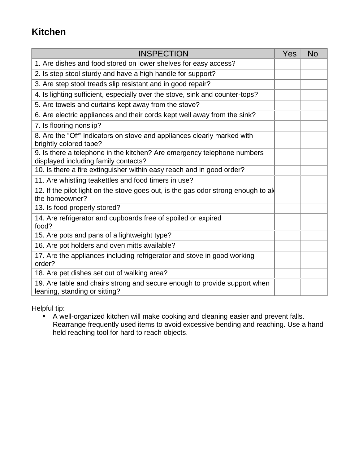# **Kitchen**

| <b>INSPECTION</b>                                                                                               | Yes | <b>No</b> |
|-----------------------------------------------------------------------------------------------------------------|-----|-----------|
| 1. Are dishes and food stored on lower shelves for easy access?                                                 |     |           |
| 2. Is step stool sturdy and have a high handle for support?                                                     |     |           |
| 3. Are step stool treads slip resistant and in good repair?                                                     |     |           |
| 4. Is lighting sufficient, especially over the stove, sink and counter-tops?                                    |     |           |
| 5. Are towels and curtains kept away from the stove?                                                            |     |           |
| 6. Are electric appliances and their cords kept well away from the sink?                                        |     |           |
| 7. Is flooring nonslip?                                                                                         |     |           |
| 8. Are the "Off" indicators on stove and appliances clearly marked with<br>brightly colored tape?               |     |           |
| 9. Is there a telephone in the kitchen? Are emergency telephone numbers<br>displayed including family contacts? |     |           |
| 10. Is there a fire extinguisher within easy reach and in good order?                                           |     |           |
| 11. Are whistling teakettles and food timers in use?                                                            |     |           |
| 12. If the pilot light on the stove goes out, is the gas odor strong enough to all<br>the homeowner?            |     |           |
| 13. Is food properly stored?                                                                                    |     |           |
| 14. Are refrigerator and cupboards free of spoiled or expired<br>food?                                          |     |           |
| 15. Are pots and pans of a lightweight type?                                                                    |     |           |
| 16. Are pot holders and oven mitts available?                                                                   |     |           |
| 17. Are the appliances including refrigerator and stove in good working<br>order?                               |     |           |
| 18. Are pet dishes set out of walking area?                                                                     |     |           |
| 19. Are table and chairs strong and secure enough to provide support when<br>leaning, standing or sitting?      |     |           |

Helpful tip:

■ A well-organized kitchen will make cooking and cleaning easier and prevent falls. Rearrange frequently used items to avoid excessive bending and reaching. Use a hand held reaching tool for hard to reach objects.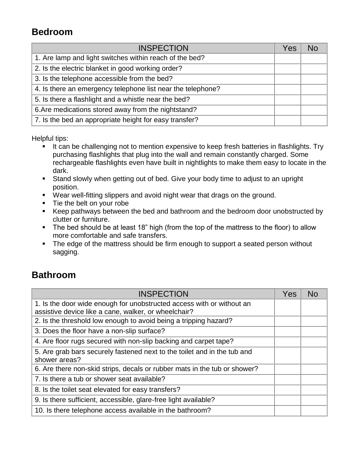# **Bedroom**

| <b>INSPECTION</b>                                           | Yes | N <sub>0</sub> |
|-------------------------------------------------------------|-----|----------------|
| 1. Are lamp and light switches within reach of the bed?     |     |                |
| 2. Is the electric blanket in good working order?           |     |                |
| 3. Is the telephone accessible from the bed?                |     |                |
| 4. Is there an emergency telephone list near the telephone? |     |                |
| 5. Is there a flashlight and a whistle near the bed?        |     |                |
| 6. Are medications stored away from the nightstand?         |     |                |
| 7. Is the bed an appropriate height for easy transfer?      |     |                |

Helpful tips:

- **EXTER 15 It can be challenging not to mention expensive to keep fresh batteries in flashlights. Try** purchasing flashlights that plug into the wall and remain constantly charged. Some rechargeable flashlights even have built in nightlights to make them easy to locate in the dark.
- Stand slowly when getting out of bed. Give your body time to adjust to an upright position.
- Wear well-fitting slippers and avoid night wear that drags on the ground.
- Tie the belt on your robe
- Keep pathways between the bed and bathroom and the bedroom door unobstructed by clutter or furniture.
- The bed should be at least 18" high (from the top of the mattress to the floor) to allow more comfortable and safe transfers.
- The edge of the mattress should be firm enough to support a seated person without sagging.

## **Bathroom**

| <b>INSPECTION</b>                                                         | Yes | <b>No</b> |
|---------------------------------------------------------------------------|-----|-----------|
| 1. Is the door wide enough for unobstructed access with or without an     |     |           |
| assistive device like a cane, walker, or wheelchair?                      |     |           |
| 2. Is the threshold low enough to avoid being a tripping hazard?          |     |           |
| 3. Does the floor have a non-slip surface?                                |     |           |
| 4. Are floor rugs secured with non-slip backing and carpet tape?          |     |           |
| 5. Are grab bars securely fastened next to the toilet and in the tub and  |     |           |
| shower areas?                                                             |     |           |
| 6. Are there non-skid strips, decals or rubber mats in the tub or shower? |     |           |
| 7. Is there a tub or shower seat available?                               |     |           |
| 8. Is the toilet seat elevated for easy transfers?                        |     |           |
| 9. Is there sufficient, accessible, glare-free light available?           |     |           |
| 10. Is there telephone access available in the bathroom?                  |     |           |